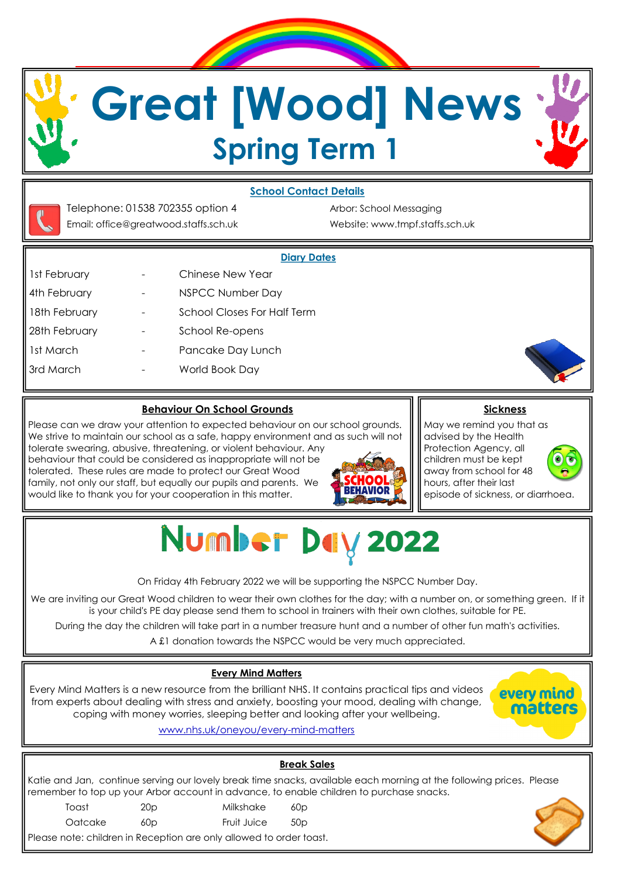# **Great [Wood] News Spring Term 1**





Email: office@greatwood.staffs.sch.uk Website: www.tmpf.staffs.sch.uk

Telephone: 01538 702355 option 4 Arbor: School Messaging

#### **Diary Dates**

- 1st February **Fig. 2. Exercise** Chinese New Year 4th February **- MSPCC Number Day** 18th February **-** School Closes For Half Term 28th February **- School Re-opens** 1st March The Contract - Pancake Day Lunch
	-
- 3rd March World Book Day

#### **Behaviour On School Grounds**

Please can we draw your attention to expected behaviour on our school grounds. We strive to maintain our school as a safe, happy environment and as such will not tolerate swearing, abusive, threatening, or violent behaviour. Any behaviour that could be considered as inappropriate will not be tolerated. These rules are made to protect our Great Wood family, not only our staff, but equally our pupils and parents. We would like to thank you for your cooperation in this matter.



**Sickness**

May we remind you that as advised by the Health Protection Agency, all children must be kept away from school for 48 hours, after their last episode of sickness, or diarrhoea.



Number Day 2022

On Friday 4th February 2022 we will be supporting the NSPCC Number Day.

We are inviting our Great Wood children to wear their own clothes for the day; with a number on, or something green. If it is your child's PE day please send them to school in trainers with their own clothes, suitable for PE.

During the day the children will take part in a number treasure hunt and a number of other fun math's activities.

A £1 donation towards the NSPCC would be very much appreciated.

### **Every Mind Matters**

Every Mind Matters is a new resource from the brilliant NHS. It contains practical tips and videos from experts about dealing with stress and anxiety, boosting your mood, dealing with change, coping with money worries, sleeping better and looking after your wellbeing.



www.nhs.uk/oneyou/every-mind-matters

## **Break Sales** Katie and Jan, continue serving our lovely break time snacks, available each morning at the following prices. Please remember to top up your Arbor account in advance, to enable children to purchase snacks. Toast 20p Milkshake 60p Oatcake 60p Fruit Juice 50p Please note: children in Reception are only allowed to order toast.